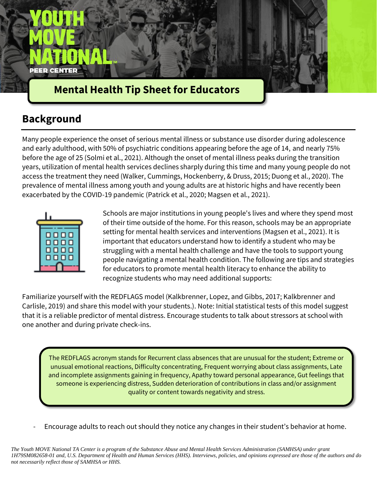

# **Mental Health Tip Sheet for Educators**

## **Background**

Many people experience the onset of serious mental illness or substance use disorder during adolescence and early adulthood, with 50% of psychiatric conditions appearing before the age of 14, and nearly 75% before the age of 25 (Solmi et al., 2021). Although the onset of mental illness peaks during the transition years, utilization of mental health services declines sharply during this time and many young people do not access the treatment they need (Walker, Cummings, Hockenberry, & Druss, 2015; Duong et al., 2020). The prevalence of mental illness among youth and young adults are at historic highs and have recently been exacerbated by the COVID-19 pandemic (Patrick et al., 2020; Magsen et al., 2021).



Schools are major institutions in young people's lives and where they spend most of their time outside of the home. For this reason, schools may be an appropriate setting for mental health services and interventions (Magsen et al., 2021). It is important that educators understand how to identify a student who may be struggling with a mental health challenge and have the tools to support young people navigating a mental health condition. The following are tips and strategies for educators to promote mental health literacy to enhance the ability to recognize students who may need additional supports:

Familiarize yourself with the REDFLAGS model (Kalkbrenner, Lopez, and Gibbs, 2017; Kalkbrenner and Carlisle, 2019) and share this model with your students.). Note: Initial statistical tests of this model suggest that it is a reliable predictor of mental distress. Encourage students to talk about stressors at school with one another and during private check-ins.

The REDFLAGS acronym stands for Recurrent class absences that are unusual for the student; Extreme or unusual emotional reactions, Difficulty concentrating, Frequent worrying about class assignments, Late and incomplete assignments gaining in frequency, Apathy toward personal appearance, Gut feelings that someone is experiencing distress, Sudden deterioration of contributions in class and/or assignment quality or content towards negativity and stress.

Encourage adults to reach out should they notice any changes in their student's behavior at home.

*The Youth MOVE National TA Center is a program of the Substance Abuse and Mental Health Services Administration (SAMHSA) under grant 1H79SM082658-01 and, U.S. Department of Health and Human Services (HHS). Interviews, policies, and opinions expressed are those of the authors and do not necessarily reflect those of SAMHSA or HHS.*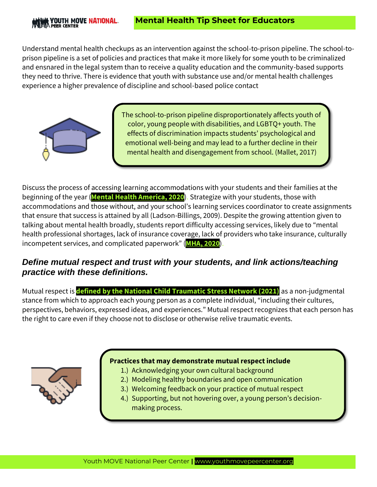Understand mental health checkups as an intervention against the school-to-prison pipeline. The school-toprison pipeline is a set of policies and practices that make it more likely for some youth to be criminalized and ensnared in the legal system than to receive a quality education and the community-based supports they need to thrive. There is evidence that youth with substance use and/or mental health challenges experience a higher prevalence of discipline and school-based police contact



The school-to-prison pipeline disproportionately affects youth of color, young people with disabilities, and LGBTQ+ youth. The effects of discrimination impacts students' psychological and emotional well-being and may lead to a further decline in their mental health and disengagement from school. (Mallet, 2017)

Discuss the process of accessing learning accommodations with your students and their families at the beginning of the year (**[Mental Health America, 2020](https://mhanational.org/sites/default/files/Disability%20and%20Campus%20Mental%20Health%20Survey%20FINAL.pdf)**). Strategize with your students, those with accommodations and those without, and your school's learning services coordinator to create assignments that ensure that success is attained by all (Ladson-Billings, 2009). Despite the growing attention given to talking about mental health broadly, students report difficulty accessing services, likely due to "mental health professional shortages, lack of insurance coverage, lack of providers who take insurance, culturally incompetent services, and complicated paperwork" (**[MHA, 2020](https://mhanational.org/sites/default/files/Disability%20and%20Campus%20Mental%20Health%20Survey%20FINAL.pdf)**).

### *Define mutual respect and trust with your students, and link actions/teaching practice with these definitions.*

Mutual respect is **[defined by the National Child Traumatic Stress Network \(2021\)](https://www.nctsn.org/sites/default/files/resources/fact-sheet/trauma-informed-guiding-principles-for-working-with-transition-age-youth-provider-fact-sheet.pdf)** as a non-judgmental stance from which to approach each young person as a complete individual, "including their cultures, perspectives, behaviors, expressed ideas, and experiences." Mutual respect recognizes that each person has the right to care even if they choose not to disclose or otherwise relive traumatic events.



### **Practices that may demonstrate mutual respect include**

- 1.) Acknowledging your own cultural background
- 2.) Modeling healthy boundaries and open communication
- 3.) Welcoming feedback on your practice of mutual respect
- 4.) Supporting, but not hovering over, a young person's decisionmaking process.